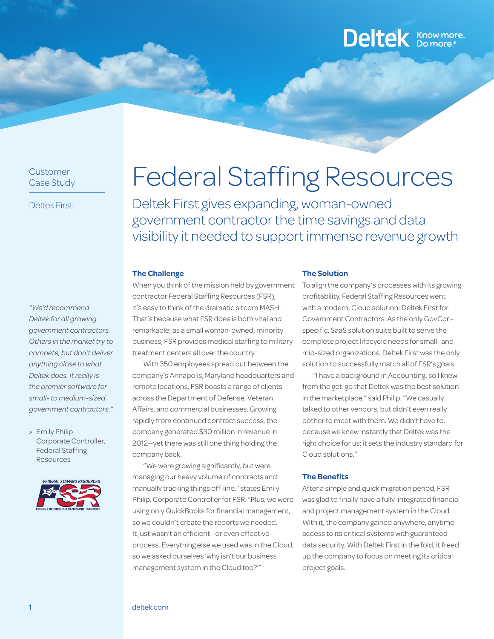### Customer Case Study

Deltek First

*"We'd recommend Deltek for all growing government contractors. Others in the market try to compete, but don't deliver anything close to what Deltek does. It really is the premier software for small- to medium-sized government contractors."*

» Emily Philip Corporate Controller, Federal Staffing **Resources** 



# Federal Staffing Resources

Deltek First gives expanding, woman-owned government contractor the time savings and data visibility it needed to support immense revenue growth

#### **The Challenge**

When you think of the mission held by government contractor Federal Staffing Resources (FSR), it's easy to think of the dramatic sitcom MASH. That's because what FSR does is both vital and remarkable; as a small woman-owned, minority business, FSR provides medical staffing to military treatment centers all over the country.

With 350 employees spread out between the company's Annapolis, Maryland headquarters and remote locations, FSR boasts a range of clients across the Department of Defense, Veteran Affairs, and commercial businesses. Growing rapidly from continued contract success, the company generated \$30 million in revenue in 2012—yet there was still one thing holding the company back.

"We were growing significantly, but were managing our heavy volume of contracts and manually tracking things off-line," states Emily Philip, Corporate Controller for FSR. "Plus, we were using only QuickBooks for financial management, so we couldn't create the reports we needed. It just wasn't an efficient—or even effective process. Everything else we used was in the Cloud, so we asked ourselves 'why isn't our business management system in the Cloud too?'"

#### **The Solution**

To align the company's processes with its growing profitability, Federal Staffing Resources went with a modern, Cloud solution: Deltek First for Government Contractors. As the only GovConspecific, SaaS solution suite built to serve the complete project lifecycle needs for small- and mid-sized organizations, Deltek First was the only solution to successfully match all of FSR's goals.

Deltek **Know more.** 

"I have a background in Accounting, so I knew from the get-go that Deltek was the best solution in the marketplace," said Philip. "We casually talked to other vendors, but didn't even really bother to meet with them. We didn't have to, because we knew instantly that Deltek was the right choice for us; it sets the industry standard for Cloud solutions."

#### **The Benefits**

After a simple and quick migration period, FSR was glad to finally have a fully-integrated financial and project management system in the Cloud. With it, the company gained anywhere, anytime access to its critical systems with guaranteed data security. With Deltek First in the fold, it freed up the company to focus on meeting its critical project goals.